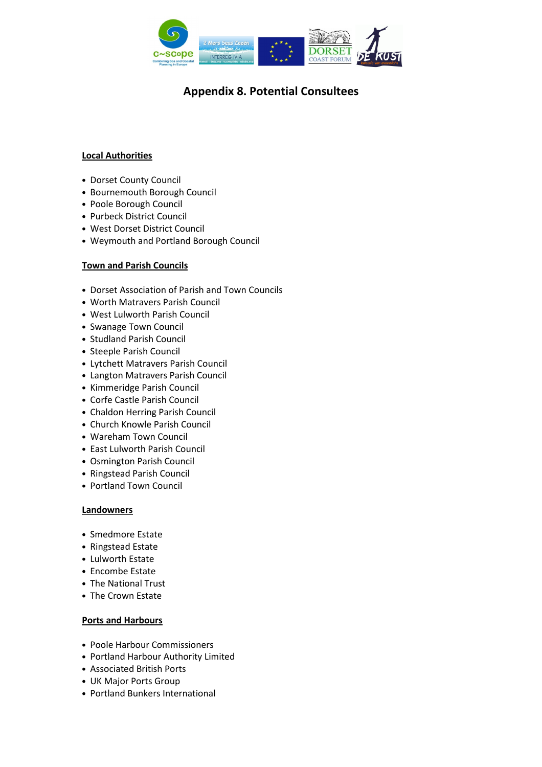

### Local Authorities

- Dorset County Council
- Bournemouth Borough Council
- Poole Borough Council
- Purbeck District Council
- West Dorset District Council
- Weymouth and Portland Borough Council

#### Town and Parish Councils

- Dorset Association of Parish and Town Councils
- Worth Matravers Parish Council
- West Lulworth Parish Council
- Swanage Town Council
- Studland Parish Council
- Steeple Parish Council
- Lytchett Matravers Parish Council
- Langton Matravers Parish Council
- Kimmeridge Parish Council
- Corfe Castle Parish Council
- Chaldon Herring Parish Council
- Church Knowle Parish Council
- Wareham Town Council
- East Lulworth Parish Council
- Osmington Parish Council
- Ringstead Parish Council
- Portland Town Council

#### **Landowners**

- Smedmore Estate
- Ringstead Estate
- Lulworth Estate
- Encombe Estate
- The National Trust
- The Crown Estate

#### Ports and Harbours

- Poole Harbour Commissioners
- Portland Harbour Authority Limited
- Associated British Ports
- UK Major Ports Group
- Portland Bunkers International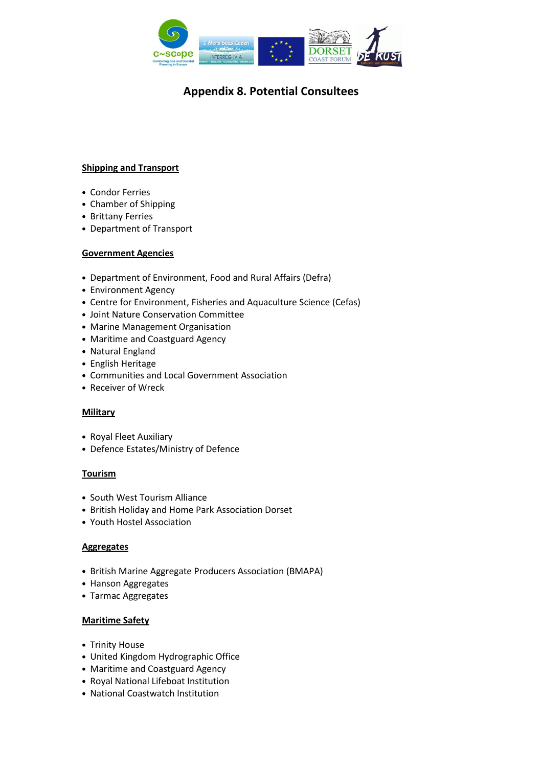

## Shipping and Transport

- Condor Ferries
- Chamber of Shipping
- Brittany Ferries
- Department of Transport

### Government Agencies

- Department of Environment, Food and Rural Affairs (Defra)
- Environment Agency
- Centre for Environment, Fisheries and Aquaculture Science (Cefas)
- Joint Nature Conservation Committee
- Marine Management Organisation
- Maritime and Coastguard Agency
- Natural England
- English Heritage
- Communities and Local Government Association
- Receiver of Wreck

#### **Military**

- Royal Fleet Auxiliary
- Defence Estates/Ministry of Defence

#### **Tourism**

- South West Tourism Alliance
- British Holiday and Home Park Association Dorset
- Youth Hostel Association

#### **Aggregates**

- British Marine Aggregate Producers Association (BMAPA)
- Hanson Aggregates
- Tarmac Aggregates

#### Maritime Safety

- Trinity House
- United Kingdom Hydrographic Office
- Maritime and Coastguard Agency
- Royal National Lifeboat Institution
- National Coastwatch Institution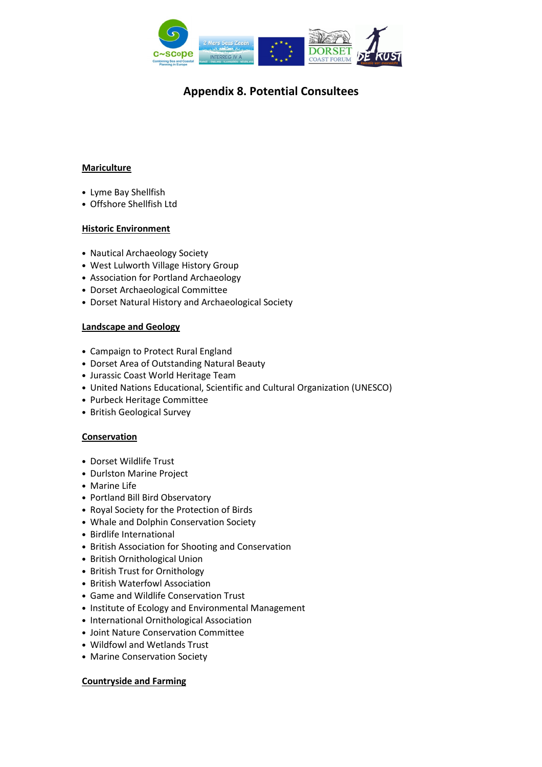

## Mariculture

- Lyme Bay Shellfish
- Offshore Shellfish Ltd

### Historic Environment

- Nautical Archaeology Society
- West Lulworth Village History Group
- Association for Portland Archaeology
- Dorset Archaeological Committee
- Dorset Natural History and Archaeological Society

#### Landscape and Geology

- Campaign to Protect Rural England
- Dorset Area of Outstanding Natural Beauty
- Jurassic Coast World Heritage Team
- United Nations Educational, Scientific and Cultural Organization (UNESCO)
- Purbeck Heritage Committee
- British Geological Survey

# Conservation

- Dorset Wildlife Trust
- Durlston Marine Project
- Marine Life
- Portland Bill Bird Observatory
- Royal Society for the Protection of Birds
- Whale and Dolphin Conservation Society
- Birdlife International
- British Association for Shooting and Conservation
- British Ornithological Union
- British Trust for Ornithology
- British Waterfowl Association
- Game and Wildlife Conservation Trust
- Institute of Ecology and Environmental Management
- International Ornithological Association
- Joint Nature Conservation Committee
- Wildfowl and Wetlands Trust
- Marine Conservation Society

#### Countryside and Farming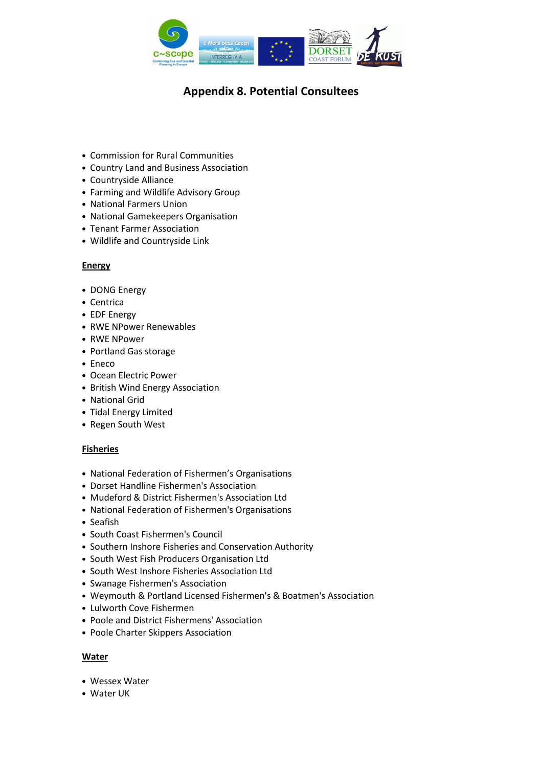

- Commission for Rural Communities
- Country Land and Business Association
- Countryside Alliance
- Farming and Wildlife Advisory Group
- National Farmers Union
- National Gamekeepers Organisation
- Tenant Farmer Association
- Wildlife and Countryside Link

### Energy

- DONG Energy
- Centrica
- EDF Energy
- RWE NPower Renewables
- RWE NPower
- Portland Gas storage
- Eneco
- Ocean Electric Power
- British Wind Energy Association
- National Grid
- Tidal Energy Limited
- Regen South West

#### Fisheries

- National Federation of Fishermen's Organisations
- Dorset Handline Fishermen's Association
- Mudeford & District Fishermen's Association Ltd
- National Federation of Fishermen's Organisations
- Seafish
- South Coast Fishermen's Council
- Southern Inshore Fisheries and Conservation Authority
- South West Fish Producers Organisation Ltd
- South West Inshore Fisheries Association Ltd
- Swanage Fishermen's Association
- Weymouth & Portland Licensed Fishermen's & Boatmen's Association
- Lulworth Cove Fishermen
- Poole and District Fishermens' Association
- Poole Charter Skippers Association

#### Water

- Wessex Water
- Water UK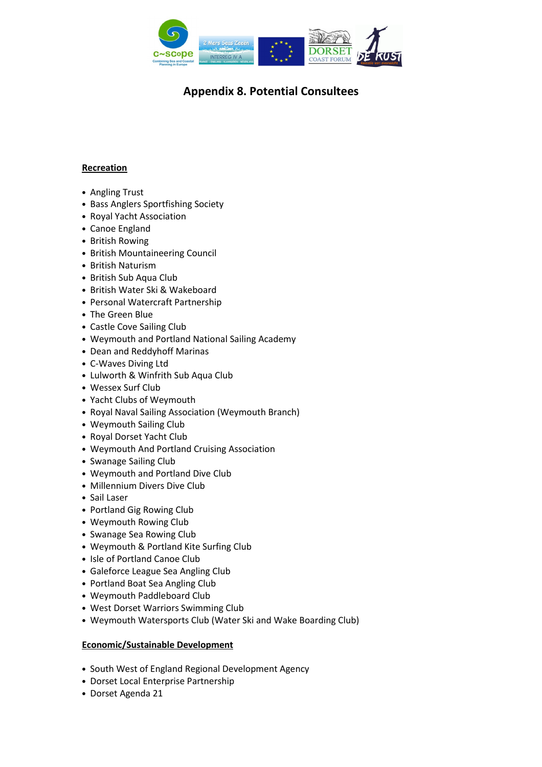

# Recreation

- Angling Trust
- Bass Anglers Sportfishing Society
- Royal Yacht Association
- Canoe England
- British Rowing
- British Mountaineering Council
- British Naturism
- British Sub Aqua Club
- British Water Ski & Wakeboard
- Personal Watercraft Partnership
- The Green Blue
- Castle Cove Sailing Club
- Weymouth and Portland National Sailing Academy
- Dean and Reddyhoff Marinas
- C-Waves Diving Ltd
- Lulworth & Winfrith Sub Aqua Club
- Wessex Surf Club
- Yacht Clubs of Weymouth
- Royal Naval Sailing Association (Weymouth Branch)
- Weymouth Sailing Club
- Royal Dorset Yacht Club
- Weymouth And Portland Cruising Association
- Swanage Sailing Club
- Weymouth and Portland Dive Club
- Millennium Divers Dive Club
- Sail Laser
- Portland Gig Rowing Club
- Weymouth Rowing Club
- Swanage Sea Rowing Club
- Weymouth & Portland Kite Surfing Club
- Isle of Portland Canoe Club
- Galeforce League Sea Angling Club
- Portland Boat Sea Angling Club
- Weymouth Paddleboard Club
- West Dorset Warriors Swimming Club
- Weymouth Watersports Club (Water Ski and Wake Boarding Club)

#### Economic/Sustainable Development

- South West of England Regional Development Agency
- Dorset Local Enterprise Partnership
- Dorset Agenda 21